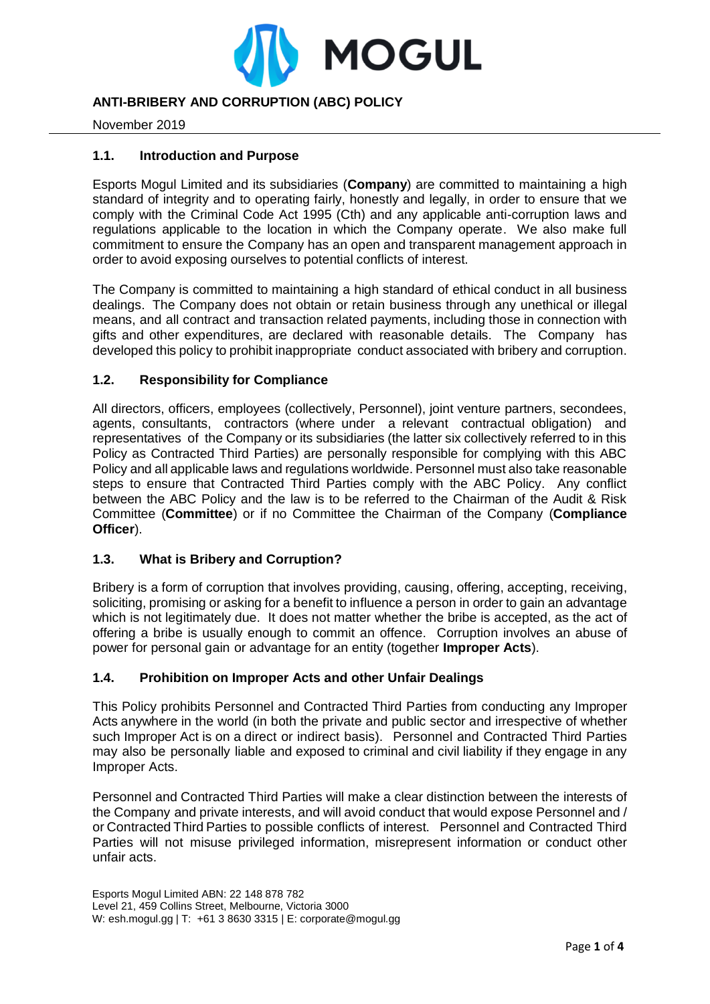

# **ANTI-BRIBERY AND CORRUPTION (ABC) POLICY**

November 2019

# **1.1. Introduction and Purpose**

Esports Mogul Limited and its subsidiaries (**Company**) are committed to maintaining a high standard of integrity and to operating fairly, honestly and legally, in order to ensure that we comply with the Criminal Code Act 1995 (Cth) and any applicable anti-corruption laws and regulations applicable to the location in which the Company operate. We also make full commitment to ensure the Company has an open and transparent management approach in order to avoid exposing ourselves to potential conflicts of interest.

The Company is committed to maintaining a high standard of ethical conduct in all business dealings. The Company does not obtain or retain business through any unethical or illegal means, and all contract and transaction related payments, including those in connection with gifts and other expenditures, are declared with reasonable details. The Company has developed this policy to prohibit inappropriate conduct associated with bribery and corruption.

# **1.2. Responsibility for Compliance**

All directors, officers, employees (collectively, Personnel), joint venture partners, secondees, agents, consultants, contractors (where under a relevant contractual obligation) and representatives of the Company or its subsidiaries (the latter six collectively referred to in this Policy as Contracted Third Parties) are personally responsible for complying with this ABC Policy and all applicable laws and regulations worldwide. Personnel must also take reasonable steps to ensure that Contracted Third Parties comply with the ABC Policy. Any conflict between the ABC Policy and the law is to be referred to the Chairman of the Audit & Risk Committee (**Committee**) or if no Committee the Chairman of the Company (**Compliance Officer**).

# **1.3. What is Bribery and Corruption?**

Bribery is a form of corruption that involves providing, causing, offering, accepting, receiving, soliciting, promising or asking for a benefit to influence a person in order to gain an advantage which is not legitimately due. It does not matter whether the bribe is accepted, as the act of offering a bribe is usually enough to commit an offence. Corruption involves an abuse of power for personal gain or advantage for an entity (together **Improper Acts**).

# **1.4. Prohibition on Improper Acts and other Unfair Dealings**

This Policy prohibits Personnel and Contracted Third Parties from conducting any Improper Acts anywhere in the world (in both the private and public sector and irrespective of whether such Improper Act is on a direct or indirect basis). Personnel and Contracted Third Parties may also be personally liable and exposed to criminal and civil liability if they engage in any Improper Acts.

Personnel and Contracted Third Parties will make a clear distinction between the interests of the Company and private interests, and will avoid conduct that would expose Personnel and / or Contracted Third Parties to possible conflicts of interest. Personnel and Contracted Third Parties will not misuse privileged information, misrepresent information or conduct other unfair acts.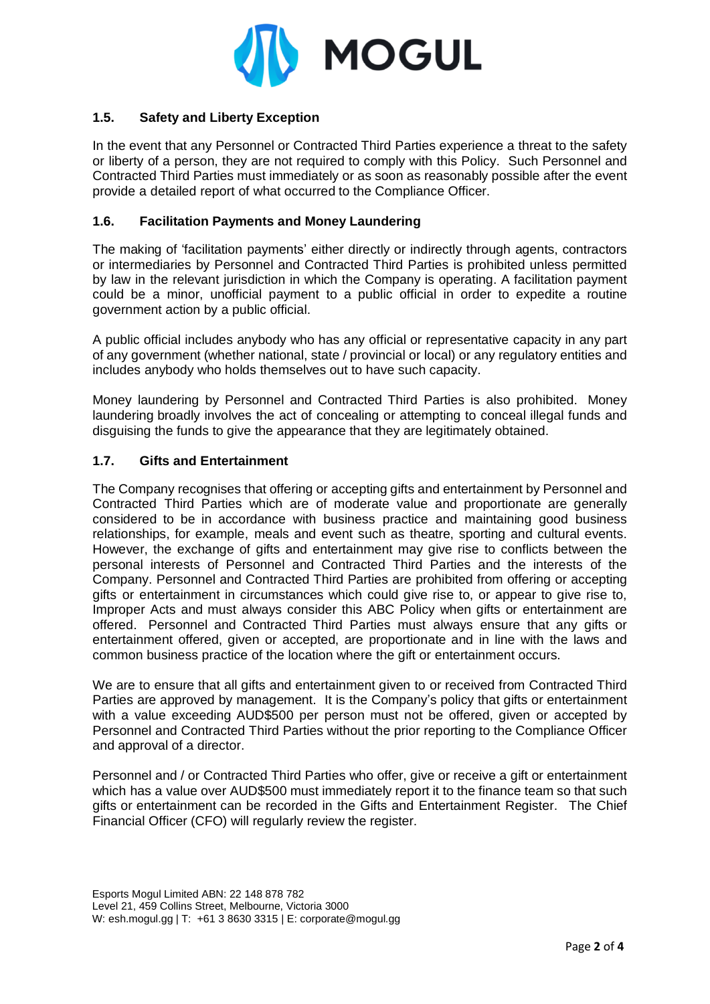

# **1.5. Safety and Liberty Exception**

In the event that any Personnel or Contracted Third Parties experience a threat to the safety or liberty of a person, they are not required to comply with this Policy. Such Personnel and Contracted Third Parties must immediately or as soon as reasonably possible after the event provide a detailed report of what occurred to the Compliance Officer.

### **1.6. Facilitation Payments and Money Laundering**

The making of 'facilitation payments' either directly or indirectly through agents, contractors or intermediaries by Personnel and Contracted Third Parties is prohibited unless permitted by law in the relevant jurisdiction in which the Company is operating. A facilitation payment could be a minor, unofficial payment to a public official in order to expedite a routine government action by a public official.

A public official includes anybody who has any official or representative capacity in any part of any government (whether national, state / provincial or local) or any regulatory entities and includes anybody who holds themselves out to have such capacity.

Money laundering by Personnel and Contracted Third Parties is also prohibited. Money laundering broadly involves the act of concealing or attempting to conceal illegal funds and disguising the funds to give the appearance that they are legitimately obtained.

#### **1.7. Gifts and Entertainment**

The Company recognises that offering or accepting gifts and entertainment by Personnel and Contracted Third Parties which are of moderate value and proportionate are generally considered to be in accordance with business practice and maintaining good business relationships, for example, meals and event such as theatre, sporting and cultural events. However, the exchange of gifts and entertainment may give rise to conflicts between the personal interests of Personnel and Contracted Third Parties and the interests of the Company. Personnel and Contracted Third Parties are prohibited from offering or accepting gifts or entertainment in circumstances which could give rise to, or appear to give rise to, Improper Acts and must always consider this ABC Policy when gifts or entertainment are offered. Personnel and Contracted Third Parties must always ensure that any gifts or entertainment offered, given or accepted, are proportionate and in line with the laws and common business practice of the location where the gift or entertainment occurs.

We are to ensure that all gifts and entertainment given to or received from Contracted Third Parties are approved by management. It is the Company's policy that gifts or entertainment with a value exceeding AUD\$500 per person must not be offered, given or accepted by Personnel and Contracted Third Parties without the prior reporting to the Compliance Officer and approval of a director.

Personnel and / or Contracted Third Parties who offer, give or receive a gift or entertainment which has a value over AUD\$500 must immediately report it to the finance team so that such gifts or entertainment can be recorded in the Gifts and Entertainment Register. The Chief Financial Officer (CFO) will regularly review the register.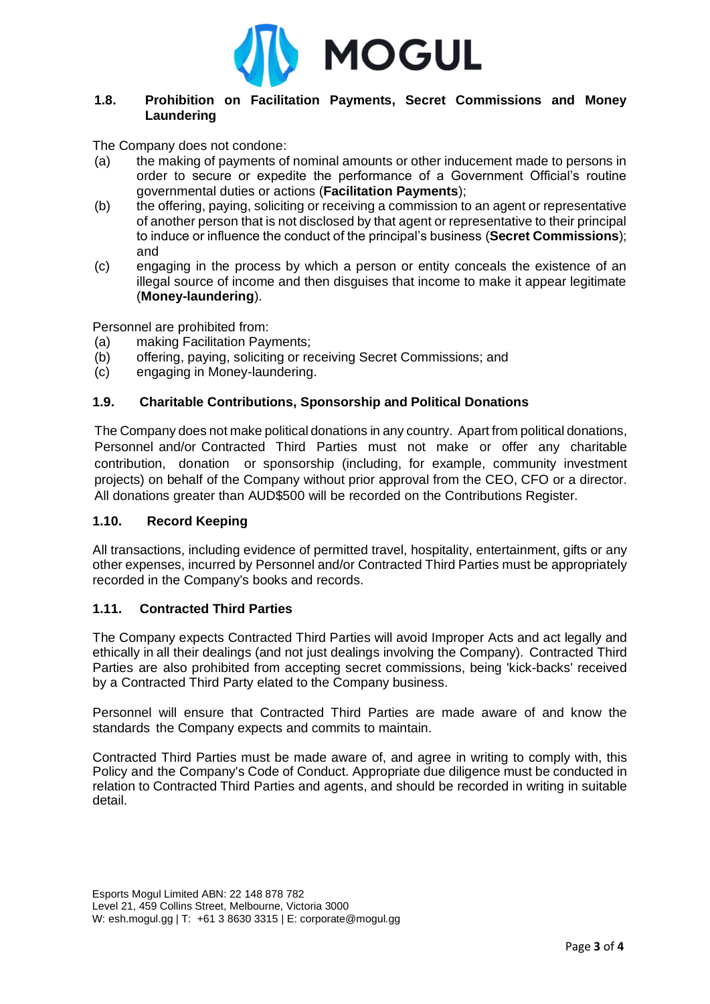

# **1.8. Prohibition on Facilitation Payments, Secret Commissions and Money Laundering**

The Company does not condone:

- (a) the making of payments of nominal amounts or other inducement made to persons in order to secure or expedite the performance of a Government Official's routine governmental duties or actions (**Facilitation Payments**);
- (b) the offering, paying, soliciting or receiving a commission to an agent or representative of another person that is not disclosed by that agent or representative to their principal to induce or influence the conduct of the principal's business (**Secret Commissions**); and
- (c) engaging in the process by which a person or entity conceals the existence of an illegal source of income and then disguises that income to make it appear legitimate (**Money-laundering**).

Personnel are prohibited from:

- (a) making Facilitation Payments;
- (b) offering, paying, soliciting or receiving Secret Commissions; and
- (c) engaging in Money-laundering.

#### **1.9. Charitable Contributions, Sponsorship and Political Donations**

The Company does not make political donations in any country. Apart from political donations, Personnel and/or Contracted Third Parties must not make or offer any charitable contribution, donation or sponsorship (including, for example, community investment projects) on behalf of the Company without prior approval from the CEO, CFO or a director. All donations greater than AUD\$500 will be recorded on the Contributions Register.

#### **1.10. Record Keeping**

All transactions, including evidence of permitted travel, hospitality, entertainment, gifts or any other expenses, incurred by Personnel and/or Contracted Third Parties must be appropriately recorded in the Company's books and records.

#### **1.11. Contracted Third Parties**

The Company expects Contracted Third Parties will avoid Improper Acts and act legally and ethically in all their dealings (and not just dealings involving the Company). Contracted Third Parties are also prohibited from accepting secret commissions, being 'kick-backs' received by a Contracted Third Party elated to the Company business.

Personnel will ensure that Contracted Third Parties are made aware of and know the standards the Company expects and commits to maintain.

Contracted Third Parties must be made aware of, and agree in writing to comply with, this Policy and the Company's Code of Conduct. Appropriate due diligence must be conducted in relation to Contracted Third Parties and agents, and should be recorded in writing in suitable detail.